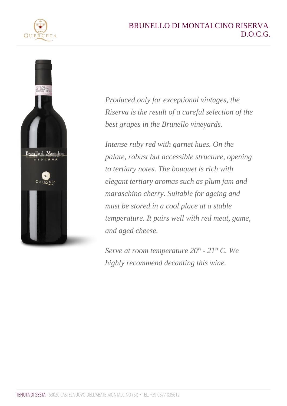Produced only for exceptional vintages, the Riserva is the result of a careful selection of the best grapes in the Brunello vineyards.

Intense ruby red with garnet hues. On the palate, robust but accessible structure, opening to tertiary notes. The bouquet is rich with elegant tertiary aromas such as plum jam and maraschino cherry. Suitable for ageing and must be stored in a cool place at a stable temperature. It pairs well with red meat, game, and aged cheese.

Serve at room temperature 20° - 21° C. We highly recommend decanting this wine.